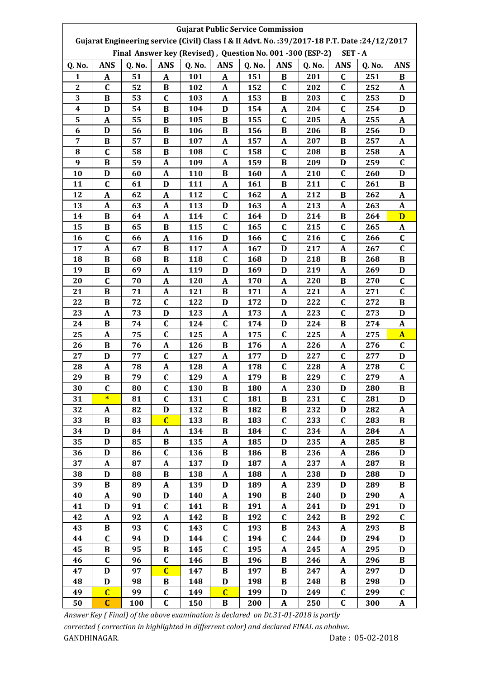|                  | <b>Gujarat Public Service Commission</b>                                                     |        |                |        |                |                                                           |              |        |              |        |              |  |  |
|------------------|----------------------------------------------------------------------------------------------|--------|----------------|--------|----------------|-----------------------------------------------------------|--------------|--------|--------------|--------|--------------|--|--|
|                  | Gujarat Engineering service (Civil) Class I & II Advt. No.: 39/2017-18 P.T. Date: 24/12/2017 |        |                |        |                |                                                           |              |        |              |        |              |  |  |
|                  |                                                                                              |        |                |        |                | Final Answer key (Revised), Question No. 001 -300 (ESP-2) |              |        | $SET - A$    |        |              |  |  |
| Q. No.           | <b>ANS</b>                                                                                   | Q. No. | <b>ANS</b>     | Q. No. | <b>ANS</b>     | Q. No.                                                    | <b>ANS</b>   | Q. No. | <b>ANS</b>   | Q. No. | <b>ANS</b>   |  |  |
| $\mathbf{1}$     | $\mathbf{A}$                                                                                 | 51     | $\mathbf{A}$   | 101    | A              | 151                                                       | B            | 201    | $\mathbf C$  | 251    | B            |  |  |
| $\boldsymbol{2}$ | C                                                                                            | 52     | B              | 102    | A              | 152                                                       | C            | 202    | $\mathbf C$  | 252    | A            |  |  |
| 3                | B                                                                                            | 53     | C              | 103    | A              | 153                                                       | B            | 203    | C            | 253    | D            |  |  |
| 4                | D                                                                                            | 54     | $\bf{B}$       | 104    | D              | 154                                                       | $\mathbf{A}$ | 204    | $\mathbf C$  | 254    | D            |  |  |
| 5                | A                                                                                            | 55     | B              | 105    | B              | 155                                                       | $\mathbf C$  | 205    | A            | 255    | A            |  |  |
| 6                | $\mathbf D$                                                                                  | 56     | B              | 106    | B              | 156                                                       | B            | 206    | $\bf{B}$     | 256    | D            |  |  |
| 7                | B                                                                                            | 57     | B              | 107    | A              | 157                                                       | A            | 207    | B            | 257    | A            |  |  |
| 8                | $\mathbf C$                                                                                  | 58     | $\bf{B}$       | 108    | $\mathbf C$    | 158                                                       | $\mathbf C$  | 208    | $\bf{B}$     | 258    | A            |  |  |
| 9                | B                                                                                            | 59     | A              | 109    | A              | 159                                                       | B            | 209    | D            | 259    | $\mathbf C$  |  |  |
| 10               | D                                                                                            | 60     | A              | 110    | B              | 160                                                       | A            | 210    | $\mathbf C$  | 260    | D            |  |  |
| 11               | C                                                                                            | 61     | D              | 111    | A              | 161                                                       | B            | 211    | $\mathbf C$  | 261    | B            |  |  |
| 12               | A                                                                                            | 62     | $\mathbf{A}$   | 112    | $\mathbf C$    | 162                                                       | A            | 212    | B            | 262    | A            |  |  |
| 13               | A                                                                                            | 63     | $\mathbf{A}$   | 113    | D              | 163                                                       | A            | 213    | $\mathbf{A}$ | 263    | A            |  |  |
| 14               | B                                                                                            | 64     | A              | 114    | C              | 164                                                       | D            | 214    | B            | 264    | D            |  |  |
| 15               | $\bf{B}$                                                                                     | 65     | B              | 115    | $\mathbf C$    | 165                                                       | $\mathbf C$  | 215    | $\mathbf C$  | 265    | A            |  |  |
| 16               | $\mathbf C$                                                                                  | 66     | A              | 116    | D              | 166                                                       | $\mathbf C$  | 216    | $\mathbf C$  | 266    | C            |  |  |
| 17               | A                                                                                            | 67     | $\bf{B}$       | 117    | A              | 167                                                       | D            | 217    | $\mathbf A$  | 267    | C            |  |  |
| 18               | $\bf{B}$                                                                                     | 68     | $\bf{B}$       | 118    | $\mathbf C$    | 168                                                       | D            | 218    | B            | 268    | $\bf{B}$     |  |  |
| 19               | B                                                                                            | 69     | A              | 119    | D              | 169                                                       | D            | 219    | A            | 269    | D            |  |  |
| 20               | C                                                                                            | 70     | A              | 120    | A              | 170                                                       | A            | 220    | B            | 270    | C            |  |  |
| 21               | $\bf{B}$                                                                                     | 71     | A              | 121    | B              | 171                                                       | $\mathbf A$  | 221    | A            | 271    | $\mathbf C$  |  |  |
| 22               | $\bf{B}$                                                                                     | 72     | $\mathbf C$    | 122    | D              | 172                                                       | D            | 222    | $\mathbf C$  | 272    | B            |  |  |
| 23               | A                                                                                            | 73     | D              | 123    | A              | 173                                                       | A            | 223    | $\mathbf C$  | 273    | D            |  |  |
| 24               | $\bf{B}$                                                                                     | 74     | $\mathbf C$    | 124    | $\mathbf C$    | 174                                                       | D            | 224    | $\bf{B}$     | 274    | A            |  |  |
| 25               | $\mathbf{A}$                                                                                 | 75     | $\mathbf C$    | 125    | A              | 175                                                       | $\mathbf C$  | 225    | A            | 275    | $\mathbf{A}$ |  |  |
| 26               | $\bf{B}$                                                                                     | 76     | A              | 126    | B              | 176                                                       | $\mathbf A$  | 226    | $\mathbf A$  | 276    | $\mathbf C$  |  |  |
| 27               | D                                                                                            | 77     | $\mathbf C$    | 127    | A              | 177                                                       | D            | 227    | $\mathbf C$  | 277    | D            |  |  |
| 28               | A                                                                                            | 78     | A              | 128    | A              | 178                                                       | $\mathbf C$  | 228    | A            | 278    | C            |  |  |
| 29               | B                                                                                            | 79     | $\mathbf C$    | 129    | A              | 179                                                       | B            | 229    | $\mathbf C$  | 279    | A            |  |  |
| 30               | C                                                                                            | 80     | $\mathbf C$    | 130    | $\bf{B}$       | 180                                                       | A            | 230    | D            | 280    | $\, {\bf B}$ |  |  |
| 31               | $\ast$                                                                                       | 81     | $\mathbf C$    | 131    | $\mathbf{C}$   | 181                                                       | $\bf{B}$     | 231    | $\mathbf C$  | 281    | D            |  |  |
| 32               | A                                                                                            | 82     | D              | 132    | B              | 182                                                       | B            | 232    | D            | 282    | A            |  |  |
| 33               | $\bf{B}$                                                                                     | 83     | $\overline{C}$ | 133    | B              | 183                                                       | $\mathbf C$  | 233    | $\mathbf C$  | 283    | B            |  |  |
| 34               | D                                                                                            | 84     | A              | 134    | B              | 184                                                       | C            | 234    | A            | 284    | A            |  |  |
| 35               | D                                                                                            | 85     | B              | 135    | A              | 185                                                       | D            | 235    | A            | 285    | B            |  |  |
| 36               | D                                                                                            | 86     | $\mathbf C$    | 136    | B              | 186                                                       | B            | 236    | A            | 286    | D            |  |  |
| 37               | A                                                                                            | 87     | A              | 137    | D              | 187                                                       | A            | 237    | A            | 287    | B            |  |  |
| 38               | $\mathbf D$                                                                                  | 88     | B              | 138    | A              | 188                                                       | A            | 238    | D            | 288    | D            |  |  |
| 39               | B                                                                                            | 89     | A              | 139    | D              | 189                                                       | A            | 239    | D            | 289    | B            |  |  |
| 40               | $\mathbf{A}$                                                                                 | 90     | $\mathbf{D}$   | 140    | A              | 190                                                       | $\bf{B}$     | 240    | D            | 290    | A            |  |  |
| 41               | D                                                                                            | 91     | $\mathbf C$    | 141    | B              | 191                                                       | A            | 241    | D            | 291    | D            |  |  |
| 42               | $\mathbf A$                                                                                  | 92     | A              | 142    | B              | 192                                                       | $\mathbf C$  | 242    | B            | 292    | C            |  |  |
| 43               | B                                                                                            | 93     | $\mathbf C$    | 143    | $\mathbf C$    | 193                                                       | B            | 243    | A            | 293    | B            |  |  |
| 44               | C                                                                                            | 94     | D              | 144    | C              | 194                                                       | $\mathbf C$  | 244    | D            | 294    | D            |  |  |
| 45               | $\bf{B}$                                                                                     | 95     | B              | 145    | $\mathbf C$    | 195                                                       | $\mathbf{A}$ | 245    | A            | 295    | D            |  |  |
| 46               | $\mathbf C$                                                                                  | 96     | $\mathbf C$    | 146    | B              | 196                                                       | B            | 246    | A            | 296    | B            |  |  |
| 47               | $\mathbf D$                                                                                  | 97     | $\overline{C}$ | 147    | B              | 197                                                       | B            | 247    | A            | 297    | D            |  |  |
| 48               | D                                                                                            | 98     | B              | 148    | D              | 198                                                       | B            | 248    | B            | 298    | D            |  |  |
| 49               | $\overline{C}$                                                                               | 99     | $\mathbf C$    | 149    | $\overline{C}$ | 199                                                       | D            | 249    | $\mathbf C$  | 299    | $\mathbf C$  |  |  |
| 50               | $\overline{C}$                                                                               | 100    | $\mathbf C$    | 150    | B              | 200                                                       | A            | 250    | $\mathbf C$  | 300    | A            |  |  |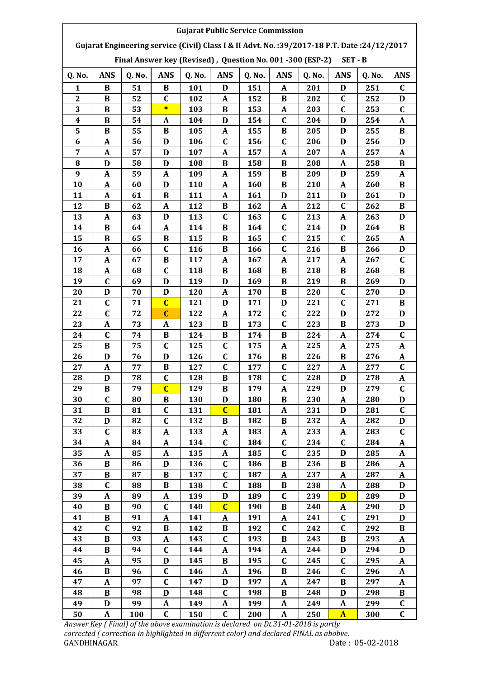| <b>Gujarat Public Service Commission</b><br>Gujarat Engineering service (Civil) Class I & II Advt. No.: 39/2017-18 P.T. Date: 24/12/2017 |                  |        |                  |        |                  |        |                  |        |                  |        |              |  |
|------------------------------------------------------------------------------------------------------------------------------------------|------------------|--------|------------------|--------|------------------|--------|------------------|--------|------------------|--------|--------------|--|
| Final Answer key (Revised), Question No. 001 -300 (ESP-2)<br>SET - B                                                                     |                  |        |                  |        |                  |        |                  |        |                  |        |              |  |
| Q. No.                                                                                                                                   | <b>ANS</b>       | Q. No. | <b>ANS</b>       | Q. No. | <b>ANS</b>       | Q. No. | <b>ANS</b>       | Q. No. | <b>ANS</b>       | Q. No. | <b>ANS</b>   |  |
| 1                                                                                                                                        | B                | 51     | B                | 101    | D                | 151    | $\mathbf A$      | 201    | D                | 251    | $\mathbf C$  |  |
| $\boldsymbol{2}$                                                                                                                         | B                | 52     | $\mathbf C$      | 102    | A                | 152    | B                | 202    | $\mathbf C$      | 252    | D            |  |
| 3                                                                                                                                        | B                | 53     | $\ast$           | 103    | B                | 153    | A                | 203    | $\mathbf C$      | 253    | C            |  |
| $\boldsymbol{4}$                                                                                                                         | $\bf{B}$         | 54     | A                | 104    | D                | 154    | $\mathbf C$      | 204    | D                | 254    | $\mathbf A$  |  |
| 5                                                                                                                                        | B                | 55     | $\bf{B}$         | 105    | A                | 155    | $\bf{B}$         | 205    | D                | 255    | $\bf{B}$     |  |
| 6                                                                                                                                        | $\boldsymbol{A}$ | 56     | D                | 106    | $\mathbf C$      | 156    | $\mathbf C$      | 206    | D                | 256    | D            |  |
| 7                                                                                                                                        | $\boldsymbol{A}$ | 57     | D                | 107    | $\boldsymbol{A}$ | 157    | A                | 207    | A                | 257    | $\mathbf A$  |  |
| 8                                                                                                                                        | D                | 58     | D                | 108    | B                | 158    | B                | 208    | $\boldsymbol{A}$ | 258    | $\bf{B}$     |  |
| 9                                                                                                                                        | A                | 59     | A                | 109    | A                | 159    | B                | 209    | D                | 259    | A            |  |
| 10                                                                                                                                       | A                | 60     | D                | 110    | A                | 160    | B                | 210    | A                | 260    | B            |  |
| 11                                                                                                                                       | A                | 61     | B                | 111    | A                | 161    | D                | 211    | D                | 261    | D            |  |
| 12                                                                                                                                       | B                | 62     | A                | 112    | B                | 162    | A                | 212    | $\mathbf C$      | 262    | B            |  |
| 13                                                                                                                                       | $\boldsymbol{A}$ | 63     | D                | 113    | $\mathbf C$      | 163    | $\mathbf C$      | 213    | A                | 263    | D            |  |
| 14                                                                                                                                       | $\bf{B}$         | 64     | A                | 114    | $\bf{B}$         | 164    | $\mathbf C$      | 214    | D                | 264    | $\bf{B}$     |  |
| 15                                                                                                                                       | B                | 65     | $\bf{B}$         | 115    | $\bf{B}$         | 165    | $\mathbf C$      | 215    | $\mathbf C$      | 265    | $\mathbf{A}$ |  |
| 16                                                                                                                                       | A                | 66     | $\mathbf C$      | 116    | B                | 166    | $\mathbf C$      | 216    | B                | 266    | D            |  |
| 17                                                                                                                                       | $\mathbf A$      | 67     | B                | 117    | $\boldsymbol{A}$ | 167    | $\mathbf{A}$     | 217    | $\boldsymbol{A}$ | 267    | $\mathbf C$  |  |
| 18                                                                                                                                       | A                | 68     | $\mathbf C$      | 118    | B                | 168    | B                | 218    | B                | 268    | B            |  |
| 19                                                                                                                                       | $\mathbf C$      | 69     | D                | 119    | D                | 169    | B                | 219    | B                | 269    | D            |  |
| 20                                                                                                                                       | D                | 70     | D                | 120    | A                | 170    | B                | 220    | $\mathbf C$      | 270    | D            |  |
| 21                                                                                                                                       | $\mathbf C$      | 71     | $\overline{C}$   | 121    | D                | 171    | D                | 221    | $\mathbf C$      | 271    | $\bf{B}$     |  |
| 22                                                                                                                                       | $\mathbf C$      | 72     | $\mathbf C$      | 122    | A                | 172    | $\mathbf C$      | 222    | D                | 272    | D            |  |
| 23                                                                                                                                       | A                | 73     | A                | 123    | B                | 173    | $\mathbf C$      | 223    | B                | 273    | D            |  |
| 24                                                                                                                                       | $\mathbf C$      | 74     | $\bf{B}$         | 124    | $\bf{B}$         | 174    | $\bf{B}$         | 224    | $\boldsymbol{A}$ | 274    | $\mathbf C$  |  |
| 25                                                                                                                                       | $\bf{B}$         | 75     | $\mathbf C$      | 125    | $\mathbf C$      | 175    | $\boldsymbol{A}$ | 225    | $\boldsymbol{A}$ | 275    | $\mathbf{A}$ |  |
| 26                                                                                                                                       | D                | 76     | D                | 126    | $\mathbf C$      | 176    | B                | 226    | $\bf{B}$         | 276    | $\mathbf A$  |  |
| 27                                                                                                                                       | A                | 77     | B                | 127    | $\mathbf C$      | 177    | $\mathbf C$      | 227    | A                | 277    | C            |  |
| 28                                                                                                                                       | D                | 78     | $\mathbf C$      | 128    | B                | 178    | $\mathbf C$      | 228    | D                | 278    | A            |  |
| 29                                                                                                                                       | B                | 79     | $\overline{C}$   | 129    | B                | 179    | $\mathbf{A}$     | 229    | D                | 279    | $\mathbf C$  |  |
| 30                                                                                                                                       | $\mathbf C$      | 80     | $\bf{B}$         | 130    | D                | 180    | B                | 230    | $\boldsymbol{A}$ | 280    | D            |  |
| 31                                                                                                                                       | $\bf{B}$         | 81     | $\mathbf C$      | 131    | $\mathbf C$      | 181    | $\boldsymbol{A}$ | 231    | D                | 281    | C            |  |
| 32                                                                                                                                       | D                | 82     | $\mathbf C$      | 132    | B                | 182    | B                | 232    | A                | 282    | D            |  |
| 33                                                                                                                                       | $\mathbf C$      | 83     | A                | 133    | A                | 183    | A                | 233    | $\boldsymbol{A}$ | 283    | $\mathbf C$  |  |
| 34                                                                                                                                       | A                | 84     | A                | 134    | $\mathbf C$      | 184    | $\mathbf C$      | 234    | $\mathbf C$      | 284    | A            |  |
| 35                                                                                                                                       | $\boldsymbol{A}$ | 85     | A                | 135    | A                | 185    | $\mathbf C$      | 235    | D                | 285    | A            |  |
| 36                                                                                                                                       | B                | 86     | D                | 136    | $\mathbf C$      | 186    | B                | 236    | B                | 286    | A            |  |
| 37                                                                                                                                       | B                | 87     | B                | 137    | C                | 187    | A                | 237    | A                | 287    | A            |  |
| 38                                                                                                                                       | $\mathbf C$      | 88     | $\bf{B}$         | 138    | $\mathbf C$      | 188    | B                | 238    | $\boldsymbol{A}$ | 288    | D            |  |
| 39                                                                                                                                       | $\boldsymbol{A}$ | 89     | $\boldsymbol{A}$ | 139    | $\mathbf D$      | 189    | $\mathbf C$      | 239    | D                | 289    | $\mathbf{D}$ |  |
| 40                                                                                                                                       | B                | 90     | $\mathbf C$      | 140    | $\mathbf C$      | 190    | B                | 240    | A                | 290    | D            |  |
| 41                                                                                                                                       | B                | 91     | A                | 141    | A                | 191    | A                | 241    | C                | 291    | D            |  |
| 42                                                                                                                                       | $\mathbf C$      | 92     | $\bf{B}$         | 142    | B                | 192    | $\mathbf C$      | 242    | $\mathbf C$      | 292    | B            |  |
| 43                                                                                                                                       | B                | 93     | A                | 143    | $\mathbf C$      | 193    | B                | 243    | B                | 293    | A            |  |
| 44                                                                                                                                       | B                | 94     | C                | 144    | A                | 194    | A                | 244    | D                | 294    | D            |  |
| 45                                                                                                                                       | A                | 95     | D                | 145    | B                | 195    | C                | 245    | C                | 295    | A            |  |
| 46                                                                                                                                       | B                | 96     | C                | 146    | A                | 196    | B                | 246    | C                | 296    | A            |  |
| 47                                                                                                                                       | $\mathbf{A}$     | 97     | $\mathbf C$      | 147    | D                | 197    | $\mathbf{A}$     | 247    | $\bf{B}$         | 297    | A            |  |
| 48                                                                                                                                       | $\bf{B}$         | 98     | D                | 148    | $\mathbf C$      | 198    | $\bf{B}$         | 248    | D                | 298    | B            |  |
| 49                                                                                                                                       | D                | 99     | A                | 149    | A                | 199    | A                | 249    | A                | 299    | C            |  |
| 50                                                                                                                                       | $\boldsymbol{A}$ | 100    | $\mathbf C$      | 150    | $\mathbf C$      | 200    | $\boldsymbol{A}$ | 250    | $\mathbf{A}$     | 300    | $\mathbf C$  |  |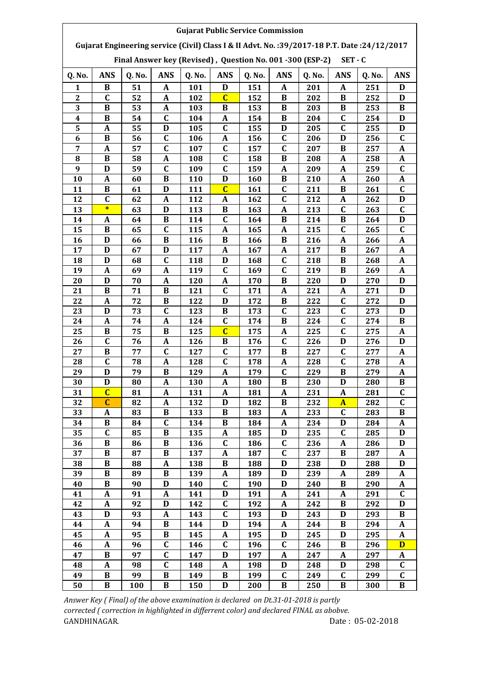| <b>Gujarat Public Service Commission</b><br>Gujarat Engineering service (Civil) Class I & II Advt. No.: 39/2017-18 P.T. Date: 24/12/2017 |                  |          |                             |            |                  |            |                            |            |                         |            |                            |  |  |
|------------------------------------------------------------------------------------------------------------------------------------------|------------------|----------|-----------------------------|------------|------------------|------------|----------------------------|------------|-------------------------|------------|----------------------------|--|--|
| Final Answer key (Revised), Question No. 001 -300 (ESP-2)<br>$SET - C$                                                                   |                  |          |                             |            |                  |            |                            |            |                         |            |                            |  |  |
| Q. No.                                                                                                                                   | <b>ANS</b>       | Q. No.   | <b>ANS</b>                  | Q. No.     | <b>ANS</b>       | Q. No.     | <b>ANS</b>                 | Q. No.     | <b>ANS</b>              | Q. No.     | <b>ANS</b>                 |  |  |
| 1                                                                                                                                        | B                | 51       | A                           | 101        | D                | 151        | A                          | 201        | A                       | 251        | D                          |  |  |
| $\boldsymbol{2}$                                                                                                                         | $\mathbf C$      | 52       | $\mathbf{A}$                | 102        | $\overline{C}$   | 152        | $\bf{B}$                   | 202        | $\bf{B}$                | 252        | D                          |  |  |
| 3                                                                                                                                        | B                | 53       | $\mathbf{A}$                | 103        | B                | 153        | $\bf{B}$                   | 203        | B                       | 253        | B                          |  |  |
| $\overline{\mathbf{4}}$                                                                                                                  | B                | 54       | $\mathbf C$                 | 104        | A                | 154        | B                          | 204        | $\mathbf C$             | 254        | D                          |  |  |
| 5                                                                                                                                        | A                | 55       | D                           | 105        | $\mathbf C$      | 155        | D                          | 205        | $\mathbf C$             | 255        | D                          |  |  |
| 6                                                                                                                                        | $\, {\bf B}$     | 56       | $\mathbf C$                 | 106        | A                | 156        | $\mathbf C$                | 206        | D                       | 256        | $\mathbf C$                |  |  |
| 7                                                                                                                                        | A                | 57       | $\mathbf C$                 | 107        | $\mathbf C$      | 157        | $\mathbf C$                | 207        | B                       | 257        | A                          |  |  |
| 8                                                                                                                                        | B                | 58       | $\mathbf{A}$                | 108        | $\mathbf C$      | 158        | B                          | 208        | A                       | 258        | A                          |  |  |
| 9                                                                                                                                        | D                | 59       | $\mathbf C$                 | 109        | $\mathbf C$      | 159        | A                          | 209        | A                       | 259        | $\mathbf C$                |  |  |
| 10                                                                                                                                       | A                | 60       | B                           | 110        | D                | 160        | B                          | 210        | A                       | 260        | A                          |  |  |
| 11                                                                                                                                       | B                | 61       | $\mathbf D$                 | 111        | $\overline{C}$   | 161        | $\mathbf C$                | 211        | B                       | 261        | $\mathbf C$                |  |  |
| 12                                                                                                                                       | $\mathbf C$      | 62       | $\boldsymbol{A}$            | 112        | A                | 162        | $\mathbf C$                | 212        | A                       | 262        | D                          |  |  |
| 13                                                                                                                                       | $\ast$           | 63       | $\mathbf D$                 | 113        | $\bf{B}$         | 163        | $\mathbf{A}$               | 213        | $\mathbf C$             | 263        | $\mathbf C$                |  |  |
| 14                                                                                                                                       | A                | 64       | $\bf{B}$                    | 114        | $\mathbf C$      | 164        | B                          | 214        | B                       | 264        | D                          |  |  |
| 15                                                                                                                                       | B                | 65       | $\mathbf C$                 | 115        | A                | 165        | $\mathbf{A}$               | 215        | $\mathbf C$             | 265        | $\mathbf C$                |  |  |
| 16                                                                                                                                       | D                | 66       | B                           | 116        | B                | 166        | B                          | 216        | $\boldsymbol{A}$        | 266        | A                          |  |  |
| 17                                                                                                                                       | D                | 67       | $\mathbf D$                 | 117        | A                | 167        | A                          | 217        | B                       | 267        | A                          |  |  |
| 18<br>19                                                                                                                                 | D<br>A           | 68<br>69 | $\mathbf C$<br>$\mathbf{A}$ | 118<br>119 | D<br>$\mathbf C$ | 168        | $\mathbf C$<br>$\mathbf C$ | 218<br>219 | B<br>B                  | 268<br>269 | A                          |  |  |
|                                                                                                                                          |                  |          |                             |            |                  | 169        | B                          |            |                         |            | A                          |  |  |
| 20<br>21                                                                                                                                 | D<br>B           | 70<br>71 | A<br>$\bf{B}$               | 120<br>121 | A<br>$\mathbf C$ | 170<br>171 | A                          | 220<br>221 | D<br>$\boldsymbol{A}$   | 270<br>271 | D<br>D                     |  |  |
| 22                                                                                                                                       | A                | 72       | $\bf{B}$                    | 122        | D                | 172        | $\bf{B}$                   | 222        | $\mathbf C$             | 272        | D                          |  |  |
| 23                                                                                                                                       | D                | 73       | $\mathbf C$                 | 123        | B                | 173        | $\mathbf C$                | 223        | $\mathbf C$             | 273        | D                          |  |  |
| 24                                                                                                                                       | A                | 74       | $\mathbf{A}$                | 124        | $\mathbf C$      | 174        | B                          | 224        | $\mathbf C$             | 274        | $\bf{B}$                   |  |  |
| 25                                                                                                                                       | B                | 75       | B                           | 125        | $\overline{c}$   | 175        | A                          | 225        | $\mathbf C$             | 275        | A                          |  |  |
| 26                                                                                                                                       | $\mathbf C$      | 76       | $\mathbf A$                 | 126        | B                | 176        | $\mathbf C$                | 226        | D                       | 276        | D                          |  |  |
| 27                                                                                                                                       | B                | 77       | C                           | 127        | C                | 177        | $\bf{B}$                   | 227        | $\mathbf C$             | 277        | A                          |  |  |
| 28                                                                                                                                       | $\mathbf C$      | 78       | $\mathbf{A}$                | 128        | $\mathbf C$      | 178        | $\boldsymbol{A}$           | 228        | $\overline{\mathbf{C}}$ | 278        | A                          |  |  |
| 29                                                                                                                                       | D                | 79       | $\bf{B}$                    | 129        | A                | 179        | $\mathbf C$                | 229        | B                       | 279        | A                          |  |  |
| 30                                                                                                                                       | D                | 80       | A                           | 130        | A                | 180        | B                          | 230        | D                       | 280        | B                          |  |  |
| 31                                                                                                                                       | $\overline{C}$   | 81       | A                           | 131        | A                | 181        | A                          | 231        | $\mathbf A$             | 281        | $\mathbf C$                |  |  |
| 32                                                                                                                                       | $\mathbf{C}$     | 82       | $\mathbf A$                 | 132        | D                | 182        | $\bf{B}$                   | 232        | $\overline{\mathbf{A}}$ | 282        | $\mathbf C$                |  |  |
| 33                                                                                                                                       | A                | 83       | $\bf{B}$                    | 133        | B                | 183        | $\mathbf{A}$               | 233        | $\mathbf C$             | 283        | B                          |  |  |
| 34                                                                                                                                       | B                | 84       | $\mathbf C$                 | 134        | B                | 184        | $\mathbf{A}$               | 234        | D                       | 284        | $\mathbf A$                |  |  |
| 35                                                                                                                                       | $\mathbf C$      | 85       | B                           | 135        | A                | 185        | D                          | 235        | $\mathbf C$             | 285        | D                          |  |  |
| 36                                                                                                                                       | B                | 86       | B                           | 136        | $\mathbf C$      | 186        | $\mathbf C$                | 236        | A                       | 286        | D                          |  |  |
| 37                                                                                                                                       | B                | 87       | B                           | 137        | A                | 187        | $\mathbf C$                | 237        | B                       | 287        | A                          |  |  |
| 38                                                                                                                                       | B                | 88       | A                           | 138        | B                | 188        | D                          | 238        | D                       | 288        | D                          |  |  |
| 39                                                                                                                                       | B                | 89       | B                           | 139        | A                | 189        | D                          | 239        | A                       | 289        | $\mathbf A$                |  |  |
| 40                                                                                                                                       | B                | 90       | D                           | 140        | C                | 190        | D                          | 240        | B                       | 290        | A                          |  |  |
| 41                                                                                                                                       | $\mathbf A$      | 91       | $\mathbf A$                 | 141        | D                | 191        | A                          | 241        | A                       | 291        | $\mathbf C$                |  |  |
| 42                                                                                                                                       | $\boldsymbol{A}$ | 92       | $\mathbf D$                 | 142        | C                | 192        | $\boldsymbol{\mathsf{A}}$  | 242        | $\, {\bf B}$            | 292        | $\mathbf D$                |  |  |
| 43                                                                                                                                       | $\mathbf D$      | 93       | $\mathbf A$                 | 143        | $\mathbf C$      | 193        | D                          | 243        | $\mathbf D$             | 293        | B                          |  |  |
| 44                                                                                                                                       | $\mathbf{A}$     | 94       | $\bf{B}$                    | 144        | D                | 194        | $\mathbf{A}$               | 244        | $\bf{B}$                | 294        | $\mathbf A$                |  |  |
| 45                                                                                                                                       | A                | 95       | $\bf{B}$                    | 145        | A                | 195        | D                          | 245        | D                       | 295        | $\mathbf A$                |  |  |
| 46                                                                                                                                       | A                | 96       | $\mathbf C$                 | 146        | C                | 196        | $\mathbf C$                | 246        | B                       | 296        | $\mathbf{D}$               |  |  |
| 47                                                                                                                                       | B                | 97       | $\mathbf C$                 | 147        | D                | 197        | A                          | 247        | A                       | 297        | A                          |  |  |
| 48<br>49                                                                                                                                 | A<br>B           | 98<br>99 | $\mathbf C$<br>B            | 148<br>149 | A<br>B           | 198<br>199 | D<br>$\mathbf C$           | 248<br>249 | D<br>C                  | 298<br>299 | $\mathbf C$<br>$\mathbf C$ |  |  |
| 50                                                                                                                                       | B                | 100      | $\bf{B}$                    | 150        | D                | 200        | B                          | 250        | B                       | 300        | $\bf{B}$                   |  |  |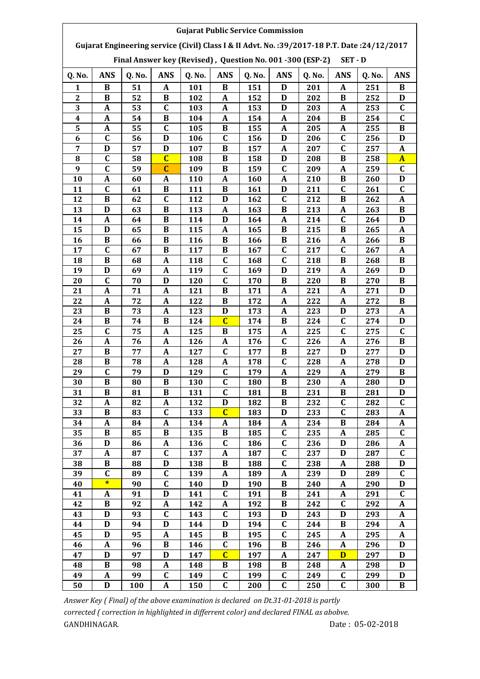| <b>Gujarat Public Service Commission</b><br>Gujarat Engineering service (Civil) Class I & II Advt. No.: 39/2017-18 P.T. Date: 24/12/2017 |                  |          |                   |            |                         |            |                            |            |                  |            |              |  |  |
|------------------------------------------------------------------------------------------------------------------------------------------|------------------|----------|-------------------|------------|-------------------------|------------|----------------------------|------------|------------------|------------|--------------|--|--|
| Final Answer key (Revised), Question No. 001 -300 (ESP-2)<br>SET - D                                                                     |                  |          |                   |            |                         |            |                            |            |                  |            |              |  |  |
| Q. No.                                                                                                                                   | <b>ANS</b>       | Q. No.   | <b>ANS</b>        | Q. No.     | <b>ANS</b>              | Q. No.     | <b>ANS</b>                 | Q. No.     | <b>ANS</b>       | Q. No.     | <b>ANS</b>   |  |  |
| 1                                                                                                                                        | B                | 51       | A                 | 101        | B                       | 151        | D                          | 201        | A                | 251        | B            |  |  |
| $\boldsymbol{2}$                                                                                                                         | $\bf{B}$         | 52       | $\, {\bf B}$      | 102        | A                       | 152        | D                          | 202        | $\bf{B}$         | 252        | D            |  |  |
| 3                                                                                                                                        | $\boldsymbol{A}$ | 53       | $\mathbf C$       | 103        | A                       | 153        | D                          | 203        | A                | 253        | $\mathbf C$  |  |  |
| $\overline{\mathbf{4}}$                                                                                                                  | A                | 54       | $\bf{B}$          | 104        | A                       | 154        | A                          | 204        | B                | 254        | $\mathbf C$  |  |  |
| 5                                                                                                                                        | A                | 55       | $\mathbf C$       | 105        | B                       | 155        | A                          | 205        | A                | 255        | B            |  |  |
| 6                                                                                                                                        | $\mathbf C$      | 56       | D                 | 106        | $\mathbf C$             | 156        | D                          | 206        | $\mathbf C$      | 256        | D            |  |  |
| 7                                                                                                                                        | $\mathbf D$      | 57       | $\mathbf D$       | 107        | $\bf{B}$                | 157        | A                          | 207        | $\mathbf C$      | 257        | A            |  |  |
| 8                                                                                                                                        | $\mathbf C$      | 58       | $\overline{C}$    | 108        | B                       | 158        | D                          | 208        | B                | 258        | $\mathbf{A}$ |  |  |
| 9                                                                                                                                        | $\mathbf C$      | 59       | $\mathbf C$       | 109        | B                       | 159        | $\mathbf C$                | 209        | A                | 259        | $\mathbf C$  |  |  |
| 10                                                                                                                                       | A                | 60       | A                 | 110        | A                       | 160        | A                          | 210        | B                | 260        | D            |  |  |
| 11                                                                                                                                       | $\mathbf C$      | 61       | $\bf{B}$          | 111        | B                       | 161        | D                          | 211        | $\mathbf C$      | 261        | $\mathbf C$  |  |  |
| 12                                                                                                                                       | $\bf{B}$         | 62       | $\mathbf C$       | 112        | D                       | 162        | $\mathbf C$                | 212        | $\bf{B}$         | 262        | A            |  |  |
| 13                                                                                                                                       | D                | 63       | $\bf{B}$          | 113        | A                       | 163        | $\bf{B}$                   | 213        | A                | 263        | $\bf{B}$     |  |  |
| 14                                                                                                                                       | A                | 64       | $\bf{B}$          | 114        | D                       | 164        | $\mathbf{A}$               | 214        | $\mathbf C$      | 264        | D            |  |  |
| 15                                                                                                                                       | D                | 65       | B                 | 115        | A                       | 165        | B                          | 215        | B                | 265        | A            |  |  |
| 16                                                                                                                                       | B                | 66       | B                 | 116        | B                       | 166        | $\bf{B}$                   | 216        | A                | 266        | B            |  |  |
| 17                                                                                                                                       | $\mathbf C$      | 67       | $\bf{B}$          | 117        | $\bf{B}$<br>$\mathbf C$ | 167        | $\mathbf C$<br>$\mathbf C$ | 217        | $\mathbf C$<br>B | 267        | A            |  |  |
| 18<br>19                                                                                                                                 | B<br>D           | 68<br>69 | A<br>$\mathbf{A}$ | 118<br>119 | $\mathbf C$             | 168        | D                          | 218<br>219 | A                | 268<br>269 | B<br>D       |  |  |
| 20                                                                                                                                       | $\mathbf C$      | 70       | D                 | 120        | C                       | 169<br>170 | B                          | 220        | B                | 270        | B            |  |  |
| 21                                                                                                                                       | $\boldsymbol{A}$ | 71       | $\mathbf A$       | 121        | B                       | 171        | $\boldsymbol{A}$           | 221        | $\boldsymbol{A}$ | 271        | D            |  |  |
| 22                                                                                                                                       | $\boldsymbol{A}$ | 72       | $\boldsymbol{A}$  | 122        | B                       | 172        | $\mathbf{A}$               | 222        | A                | 272        | B            |  |  |
| 23                                                                                                                                       | B                | 73       | $\mathbf{A}$      | 123        | D                       | 173        | $\mathbf{A}$               | 223        | D                | 273        | A            |  |  |
| 24                                                                                                                                       | B                | 74       | $\bf{B}$          | 124        | $\overline{C}$          | 174        | B                          | 224        | $\mathbf C$      | 274        | D            |  |  |
| 25                                                                                                                                       | $\mathbf C$      | 75       | A                 | 125        | B                       | 175        | A                          | 225        | $\mathbf C$      | 275        | C            |  |  |
| 26                                                                                                                                       | $\boldsymbol{A}$ | 76       | $\mathbf{A}$      | 126        | A                       | 176        | $\mathbf C$                | 226        | $\boldsymbol{A}$ | 276        | B            |  |  |
| 27                                                                                                                                       | B                | 77       | A                 | 127        | C                       | 177        | B                          | 227        | D                | 277        | D            |  |  |
| 28                                                                                                                                       | $\, {\bf B}$     | 78       | A                 | 128        | A                       | 178        | $\mathbf C$                | 228        | A                | 278        | D            |  |  |
| 29                                                                                                                                       | $\mathbf C$      | 79       | D                 | 129        | $\mathbf C$             | 179        | A                          | 229        | A                | 279        | B            |  |  |
| 30                                                                                                                                       | B                | 80       | B                 | 130        | C.                      | 180        | B                          | 230        | A                | 280        | D            |  |  |
| 31                                                                                                                                       | B                | 81       | B                 | 131        | $\mathbf C$             | 181        | B                          | 231        | В                | 281        | D            |  |  |
| 32                                                                                                                                       | A                | 82       | $\mathbf A$       | 132        | D                       | 182        | $\bf{B}$                   | 232        | $\mathbf C$      | 282        | C            |  |  |
| 33                                                                                                                                       | B                | 83       | $\mathbf C$       | 133        | $\overline{C}$          | 183        | $\mathbf D$                | 233        | $\mathbf C$      | 283        | $\mathbf A$  |  |  |
| 34                                                                                                                                       | A                | 84       | $\mathbf{A}$      | 134        | A                       | 184        | $\mathbf{A}$               | 234        | B                | 284        | $\mathbf A$  |  |  |
| 35                                                                                                                                       | B                | 85       | B                 | 135        | B                       | 185        | $\mathbf C$                | 235        | A                | 285        | $\mathbf C$  |  |  |
| 36                                                                                                                                       | $\mathbf D$      | 86       | A                 | 136        | $\mathbf C$             | 186        | $\mathbf C$                | 236        | D                | 286        | A            |  |  |
| 37                                                                                                                                       | A                | 87       | $\mathbf C$       | 137        | A                       | 187        | C                          | 237        | D                | 287        | $\mathbf C$  |  |  |
| 38                                                                                                                                       | B                | 88       | D                 | 138        | B                       | 188        | $\mathbf C$                | 238        | A                | 288        | D            |  |  |
| 39                                                                                                                                       | $\mathbf C$      | 89       | C                 | 139        | A                       | 189        | $\mathbf{A}$               | 239        | D                | 289        | $\mathbf C$  |  |  |
| 40                                                                                                                                       | $\ast$           | 90       | $\mathbf C$       | 140        | D                       | 190        | B                          | 240        | A                | 290        | D            |  |  |
| 41                                                                                                                                       | A                | 91       | D                 | 141        | C                       | 191        | B                          | 241        | A                | 291        | $\mathbf C$  |  |  |
| 42                                                                                                                                       | $\bf{B}$         | 92       | $\pmb{A}$         | 142        | A                       | 192        | $\bf{B}$                   | 242        | $\mathbf C$      | 292        | $\pmb{A}$    |  |  |
| 43                                                                                                                                       | $\mathbf D$      | 93       | $\mathbf C$       | 143        | $\mathbf C$             | 193        | $\mathbf D$                | 243        | D                | 293        | $\mathbf A$  |  |  |
| 44                                                                                                                                       | $\mathbf D$      | 94       | D                 | 144        | D                       | 194        | $\overline{\mathsf{C}}$    | 244        | B                | 294        | $\mathbf A$  |  |  |
| 45                                                                                                                                       | $\mathbf D$      | 95       | $\mathbf A$       | 145        | B                       | 195        | $\overline{\mathsf{C}}$    | 245        | A                | 295        | A            |  |  |
| 46                                                                                                                                       | $\boldsymbol{A}$ | 96       | B                 | 146        | C                       | 196        | B                          | 246        | A                | 296        | D            |  |  |
| 47                                                                                                                                       | D                | 97       | D                 | 147        | $\overline{C}$          | 197        | A                          | 247        | $\mathbf{D}$     | 297        | D            |  |  |
| 48<br>49                                                                                                                                 | B<br>A           | 98<br>99 | A<br>$\mathbf C$  | 148<br>149 | B<br>C                  | 198<br>199 | B<br>$\mathbf C$           | 248<br>249 | A<br>C           | 298<br>299 | D<br>D       |  |  |
| 50                                                                                                                                       | D                | 100      | A                 | 150        | $\mathbf C$             | 200        | C                          | 250        | $\mathbf C$      | 300        | B            |  |  |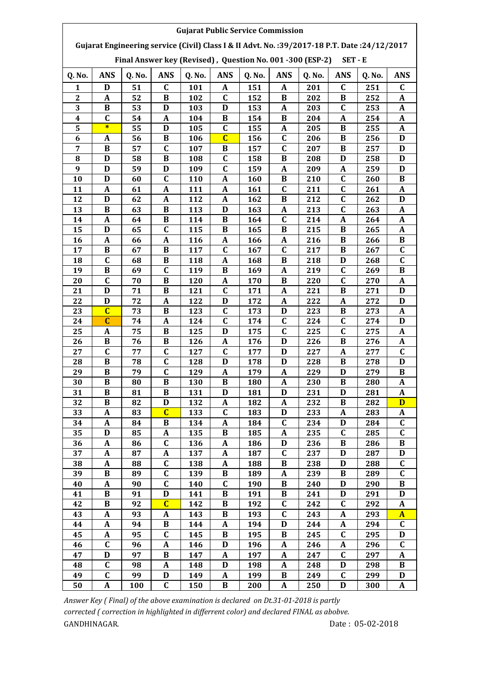| <b>Gujarat Public Service Commission</b>                                                                                                                           |                           |           |                         |            |                |            |                         |            |                |            |                         |  |  |
|--------------------------------------------------------------------------------------------------------------------------------------------------------------------|---------------------------|-----------|-------------------------|------------|----------------|------------|-------------------------|------------|----------------|------------|-------------------------|--|--|
| Gujarat Engineering service (Civil) Class I & II Advt. No.: 39/2017-18 P.T. Date: 24/12/2017<br>Final Answer key (Revised), Question No. 001 -300 (ESP-2)<br>SET-E |                           |           |                         |            |                |            |                         |            |                |            |                         |  |  |
| Q. No.                                                                                                                                                             | <b>ANS</b>                | Q. No.    | <b>ANS</b>              | Q. No.     | <b>ANS</b>     | Q. No.     | <b>ANS</b>              | Q. No.     | <b>ANS</b>     | Q. No.     | <b>ANS</b>              |  |  |
| 1                                                                                                                                                                  | D                         | 51        | C                       | 101        | A              | 151        | A                       | 201        | C              | 251        | C                       |  |  |
| $\boldsymbol{2}$                                                                                                                                                   | $\boldsymbol{A}$          | 52        | $\bf{B}$                | 102        | $\mathbf C$    | 152        | $\bf{B}$                | 202        | $\bf{B}$       | 252        | A                       |  |  |
| 3                                                                                                                                                                  | B                         | 53        | D                       | 103        | D              | 153        | $\boldsymbol{A}$        | 203        | $\mathbf C$    | 253        | A                       |  |  |
| $\overline{\mathbf{4}}$                                                                                                                                            | $\mathbf C$               | 54        | $\mathbf A$             | 104        | B              | 154        | B                       | 204        | A              | 254        | A                       |  |  |
| 5                                                                                                                                                                  | $\ast$                    | 55        | D                       | 105        | C              | 155        | A                       | 205        | B              | 255        | A                       |  |  |
| 6                                                                                                                                                                  | A                         | 56        | B                       | 106        | $\overline{C}$ | 156        | $\mathbf C$             | 206        | B              | 256        | D                       |  |  |
| 7                                                                                                                                                                  | $\bf{B}$                  | 57        | $\mathbf C$             | 107        | B              | 157        | $\mathbf C$             | 207        | B              | 257        | D                       |  |  |
| 8                                                                                                                                                                  | D                         | 58        | $\bf{B}$                | 108        | $\mathbf C$    | 158        | B                       | 208        | D              | 258        | D                       |  |  |
| 9                                                                                                                                                                  | D                         | 59        | D                       | 109        | $\mathbf C$    | 159        | A                       | 209        | A              | 259        | D                       |  |  |
| 10                                                                                                                                                                 | D                         | 60        | C                       | 110        | A              | 160        | B                       | 210        | C              | 260        | B                       |  |  |
| 11                                                                                                                                                                 | $\boldsymbol{A}$          | 61        | $\pmb{A}$               | 111        | A              | 161        | $\mathbf C$             | 211        | $\mathbf C$    | 261        | A                       |  |  |
| 12                                                                                                                                                                 | D                         | 62        | $\pmb{A}$               | 112        | A              | 162        | $\bf{B}$                | 212        | $\mathbf C$    | 262        | D                       |  |  |
| 13                                                                                                                                                                 | $\bf{B}$                  | 63        | $\bf{B}$                | 113        | D              | 163        | $\mathbf{A}$            | 213        | $\mathbf C$    | 263        | A                       |  |  |
| 14                                                                                                                                                                 | A                         | 64        | $\bf{B}$                | 114        | B              | 164        | $\overline{\mathsf{C}}$ | 214        | $\overline{A}$ | 264        | $\boldsymbol{A}$        |  |  |
| 15                                                                                                                                                                 | D                         | 65        | $\mathbf C$             | 115        | B              | 165        | $\bf{B}$                | 215        | B              | 265        | A                       |  |  |
| 16                                                                                                                                                                 | $\boldsymbol{\mathsf{A}}$ | 66        | A                       | 116        | A              | 166        | A                       | 216        | B              | 266        | B                       |  |  |
| 17                                                                                                                                                                 | $\, {\bf B}$              | 67        | $\bf{B}$                | 117        | $\mathbf C$    | 167        | $\mathbf C$             | 217        | B              | 267        | $\mathbf C$             |  |  |
| 18                                                                                                                                                                 | $\mathbf C$               | 68        | $\bf{B}$                | 118        | A              | 168        | B                       | 218        | D              | 268        | $\mathbf C$             |  |  |
| 19                                                                                                                                                                 | B                         | 69        | $\mathbf C$             | 119        | B              | 169        | A                       | 219        | C              | 269        | B                       |  |  |
| 20                                                                                                                                                                 | C                         | 70        | B                       | 120        | A              | 170        | B                       | 220        | C              | 270        | A                       |  |  |
| 21                                                                                                                                                                 | D                         | 71        | B                       | 121        | $\mathbf C$    | 171        | $\boldsymbol{A}$        | 221        | B              | 271        | D                       |  |  |
| 22                                                                                                                                                                 | D                         | 72        | $\mathbf{A}$            | 122        | D              | 172        | $\mathbf{A}$            | 222        | A              | 272        | D                       |  |  |
| 23                                                                                                                                                                 | $\overline{C}$            | 73        | $\bf{B}$                | 123        | $\mathbf C$    | 173        | D                       | 223        | $\bf{B}$       | 273        | A                       |  |  |
| 24                                                                                                                                                                 | $\overline{C}$            | 74        | $\mathbf{A}$            | 124        | $\mathbf C$    | 174        | $\mathbf C$             | 224        | $\mathbf C$    | 274        | D                       |  |  |
| 25                                                                                                                                                                 | A                         | 75        | B                       | 125        | D              | 175        | $\mathbf C$             | 225        | $\mathbf C$    | 275        | A                       |  |  |
| 26                                                                                                                                                                 | B                         | 76        | B                       | 126        | A              | 176        | D                       | 226        | B              | 276        | A                       |  |  |
| 27                                                                                                                                                                 | $\mathbf C$               | 77        | $\mathbf C$             | 127        | C              | 177        | D                       | 227        | A              | 277        | C                       |  |  |
| 28                                                                                                                                                                 | B                         | 78        | $\mathbf C$             | 128        | D              | 178        | D                       | 228        | B              | 278        | D                       |  |  |
| 29                                                                                                                                                                 | B                         | 79        | $\mathbf C$             | 129        | A              | 179        | A                       | 229        | D              | 279        | B                       |  |  |
| 30                                                                                                                                                                 | B                         | 80        | B                       | 130        | B              | 180        | A                       | 230        | B              | 280        | A                       |  |  |
| 31                                                                                                                                                                 | B                         | 81        | B                       | 131        | D              | 181        | D                       | 231        | D              | 281        | A                       |  |  |
| 32                                                                                                                                                                 | B                         | 82        | $\mathbf D$             | 132        | A              | 182        | A                       | 232        | B              | 282        | D                       |  |  |
| 33                                                                                                                                                                 | $\mathbf{A}$              | 83        | $\overline{C}$          | 133        | C              | 183        | D                       | 233        | A              | 283        | A                       |  |  |
| 34                                                                                                                                                                 | $\mathbf{A}$              | 84        | $\bf{B}$                | 134        | A              | 184        | $\mathbf C$             | 234        | D              | 284        | $\mathbf C$             |  |  |
| 35                                                                                                                                                                 | D                         | 85        | A                       | 135        | B              | 185        | A                       | 235        | $\mathbf C$    | 285        | C                       |  |  |
| 36                                                                                                                                                                 | $\mathbf A$               | 86        | $\mathbf C$             | 136        | A              | 186        | D                       | 236        | B              | 286        | B                       |  |  |
| 37                                                                                                                                                                 | A                         | 87        | A                       | 137        | A              | 187        | $\mathbf C$             | 237        | D              | 287        | D                       |  |  |
| 38                                                                                                                                                                 | A                         | 88        | $\mathbf C$             | 138        | A              | 188        | B                       | 238        | D              | 288        | $\mathbf C$             |  |  |
| 39                                                                                                                                                                 | B                         | 89        | $\mathbf C$             | 139        | B              | 189        | A                       | 239        | B              | 289        | $\mathbf C$             |  |  |
| 40                                                                                                                                                                 | A                         | 90        | $\mathbf C$             | 140        | $\mathbf C$    | 190        | B                       | 240        | D              | 290        | B                       |  |  |
| 41                                                                                                                                                                 | B                         | 91        | D                       | 141        | B              | 191        | B                       | 241        | D              | 291        | D                       |  |  |
| 42                                                                                                                                                                 | $\bf{B}$                  | 92        | $\overline{\mathbf{C}}$ | 142        | $\bf{B}$       | 192        | $\mathbf C$             | 242        | $\mathbf C$    | 292        | $\pmb{A}$               |  |  |
| 43                                                                                                                                                                 | $\mathbf{A}$              | 93        | $\mathbf A$             | 143        | B              | 193        | $\mathbf C$             | 243        | $\pmb{A}$      | 293        | $\overline{\mathbf{A}}$ |  |  |
| 44                                                                                                                                                                 | $\mathbf{A}$              | 94        | $\bf{B}$                | 144        | $\mathbf{A}$   | 194        | $\mathbf D$             | 244        | $\pmb{A}$      | 294        | $\overline{C}$          |  |  |
| 45                                                                                                                                                                 | $\mathbf A$               | 95        | $\mathbf C$             | 145        | B              | 195        | $\bf{B}$                | 245        | $\mathbf C$    | 295        | D                       |  |  |
| 46                                                                                                                                                                 | $\mathbf C$               | 96        | A                       | 146        | D              | 196        | A                       | 246        | A              | 296        | $\mathbf C$             |  |  |
| 47                                                                                                                                                                 | $\mathbf D$               | 97        | B                       | 147        | A              | 197        | A                       | 247        | $\mathbf C$    | 297        | A                       |  |  |
| 48                                                                                                                                                                 | $\mathbf C$               | 98        | A                       | 148        | D              | 198        | A                       | 248        | D              | 298        | B                       |  |  |
| 49<br>50                                                                                                                                                           | C                         | 99<br>100 | D<br>$\mathbf C$        | 149<br>150 | A<br>B         | 199<br>200 | B<br>A                  | 249<br>250 | C<br>D         | 299<br>300 | D                       |  |  |
|                                                                                                                                                                    | A                         |           |                         |            |                |            |                         |            |                |            | A                       |  |  |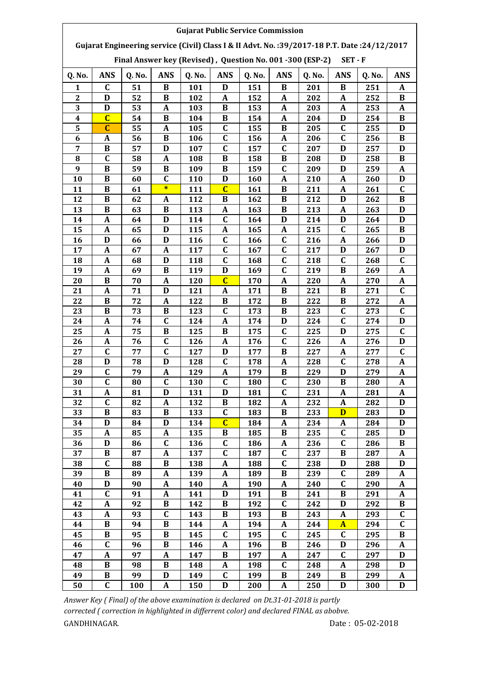| Gujarat Engineering service (Civil) Class I & II Advt. No.: 39/2017-18 P.T. Date: 24/12/2017<br>Final Answer key (Revised), Question No. 001 -300 (ESP-2)<br>$SET - F$<br><b>ANS</b><br><b>ANS</b><br><b>ANS</b><br><b>ANS</b><br>Q. No.<br>Q. No.<br>Q. No.<br>Q. No.<br><b>ANS</b><br><b>ANS</b><br>Q. No.<br>Q. No.<br>C<br>51<br>B<br>101<br>151<br>B<br>B<br>251<br>1<br>D<br>201<br>A<br>D<br>52<br>$\bf{B}$<br>152<br>$\mathbf A$<br>252<br>$\bf{B}$<br>$\boldsymbol{2}$<br>102<br>A<br>$\boldsymbol{A}$<br>202<br>3<br>D<br>53<br>A<br>253<br>$\mathbf{A}$<br>B<br>153<br>$\mathbf{A}$<br>103<br>203<br>A<br>$\overline{C}$<br>$\bf{B}$<br>$\overline{\mathbf{4}}$<br>$\mathbf{A}$<br>D<br>$\bf{B}$<br>54<br>104<br>B<br>154<br>204<br>254<br>$\mathbf C$<br>$\mathbf C$<br>5<br>55<br>105<br>C<br>B<br>255<br>D<br>A<br>155<br>205<br>$\mathbf C$<br>6<br>56<br>$\bf{B}$<br>$\mathbf C$<br>106<br>156<br>A<br>256<br>B<br>A<br>206<br>$\mathbf C$<br>$\mathbf C$<br>7<br>$\, {\bf B}$<br>57<br>$\mathbf{D}$<br>D<br>D<br>107<br>157<br>207<br>257<br>$\mathbf C$<br>$\, {\bf B}$<br>8<br>58<br>B<br>D<br>258<br>B<br>A<br>108<br>158<br>208<br>9<br>$\bf{B}$<br>$\bf{B}$<br>$\mathbf C$<br>59<br>109<br>B<br>159<br>209<br>D<br>259<br>A<br>B<br>C<br>260<br>10<br>60<br>110<br>D<br>160<br>A<br>210<br>D<br>A<br>$\ast$<br>$\overline{C}$<br>61<br>$\bf{B}$<br>$\boldsymbol{A}$<br>261<br>$\mathbf C$<br>11<br>B<br>111<br>161<br>211<br>$\bf{B}$<br>D<br>$\, {\bf B}$<br>$\bf{B}$<br>262<br>$\, {\bf B}$<br>12<br>62<br>$\mathbf{A}$<br>112<br>162<br>212<br>$\bf{B}$<br>B<br>$\bf{B}$<br>A<br>13<br>63<br>113<br>A<br>163<br>213<br>263<br>D<br>$\mathbf C$<br>D<br>D<br>D<br>D<br>14<br>A<br>64<br>114<br>164<br>214<br>264<br>$\mathbf C$<br>15<br>$\boldsymbol{A}$<br>115<br>A<br>265<br>65<br>D<br>A<br>165<br>215<br>B<br>$\mathbf C$<br>D<br>$\mathbf C$<br>A<br>16<br>D<br>116<br>166<br>266<br>D<br>66<br>216<br>$\mathbf C$<br>$\mathbf C$<br>D<br>17<br>$\boldsymbol{A}$<br>67<br>117<br>167<br>217<br>267<br>D<br>A<br>$\mathbf C$<br>$\mathbf C$<br>$\mathbf C$<br>$\mathbf C$<br>D<br>268<br>18<br>A<br>68<br>118<br>168<br>218<br>$\mathbf C$<br>19<br>69<br>B<br>119<br>D<br>219<br>B<br>269<br>A<br>169<br>A<br>$\mathbf C$<br>20<br>B<br>70<br>A<br>120<br>170<br>A<br>220<br>270<br>A<br>A<br>$\mathbf C$<br>71<br>$\mathbf D$<br>$\bf{B}$<br>B<br>21<br>$\boldsymbol{A}$<br>121<br>$\boldsymbol{A}$<br>171<br>221<br>271<br>B<br>$\bf{B}$<br>B<br>22<br>72<br>$\mathbf{A}$<br>122<br>B<br>172<br>222<br>272<br>A<br>$\mathbf C$<br>$\mathbf C$<br>$\mathbf C$<br>B<br>73<br>$\bf{B}$<br>$\bf{B}$<br>273<br>23<br>123<br>173<br>223<br>$\mathbf C$<br>$\mathbf C$<br>$\mathbf{A}$<br>D<br>24<br>A<br>74<br>124<br>174<br>224<br>274<br>D<br>$\mathbf C$<br>$\mathbf C$<br>25<br>75<br>125<br>D<br>A<br>B<br>B<br>175<br>225<br>275<br>$\mathbf C$<br>$\mathbf C$<br>$\pmb{A}$<br>76<br>26<br>126<br>A<br>176<br>A<br>276<br>D<br>226<br>$\mathbf C$<br>$\mathbf C$<br>$\bf{B}$<br>27<br>77<br>D<br>C<br>127<br>177<br>227<br>A<br>277<br>$\mathbf C$<br>$\mathbf C$<br>D<br>D<br>78<br>$\boldsymbol{A}$<br>28<br>128<br>178<br>228<br>278<br>A<br>$\mathbf C$<br>29<br>79<br>$\boldsymbol{A}$<br>129<br>A<br>179<br>B<br>229<br>D<br>279<br>A<br>C<br>$\mathbf{C}$<br>C.<br>$\mathbf C$<br>30<br>230<br>B<br>280<br>80<br>130<br>180<br>A |
|-------------------------------------------------------------------------------------------------------------------------------------------------------------------------------------------------------------------------------------------------------------------------------------------------------------------------------------------------------------------------------------------------------------------------------------------------------------------------------------------------------------------------------------------------------------------------------------------------------------------------------------------------------------------------------------------------------------------------------------------------------------------------------------------------------------------------------------------------------------------------------------------------------------------------------------------------------------------------------------------------------------------------------------------------------------------------------------------------------------------------------------------------------------------------------------------------------------------------------------------------------------------------------------------------------------------------------------------------------------------------------------------------------------------------------------------------------------------------------------------------------------------------------------------------------------------------------------------------------------------------------------------------------------------------------------------------------------------------------------------------------------------------------------------------------------------------------------------------------------------------------------------------------------------------------------------------------------------------------------------------------------------------------------------------------------------------------------------------------------------------------------------------------------------------------------------------------------------------------------------------------------------------------------------------------------------------------------------------------------------------------------------------------------------------------------------------------------------------------------------------------------------------------------------------------------------------------------------------------------------------------------------------------------------------------------------------------------------------------------------------------------------------------------------------------------------------------------------------------------------------------------------------------------------------------------------------------------------------------------------------------------------------------------------------------------------------------------------------------------------------------------------------------------------------------------------------------------------------------------------------------------------------------------------------------------------------------------------------------------------------|
|                                                                                                                                                                                                                                                                                                                                                                                                                                                                                                                                                                                                                                                                                                                                                                                                                                                                                                                                                                                                                                                                                                                                                                                                                                                                                                                                                                                                                                                                                                                                                                                                                                                                                                                                                                                                                                                                                                                                                                                                                                                                                                                                                                                                                                                                                                                                                                                                                                                                                                                                                                                                                                                                                                                                                                                                                                                                                                                                                                                                                                                                                                                                                                                                                                                                                                                                                                         |
|                                                                                                                                                                                                                                                                                                                                                                                                                                                                                                                                                                                                                                                                                                                                                                                                                                                                                                                                                                                                                                                                                                                                                                                                                                                                                                                                                                                                                                                                                                                                                                                                                                                                                                                                                                                                                                                                                                                                                                                                                                                                                                                                                                                                                                                                                                                                                                                                                                                                                                                                                                                                                                                                                                                                                                                                                                                                                                                                                                                                                                                                                                                                                                                                                                                                                                                                                                         |
|                                                                                                                                                                                                                                                                                                                                                                                                                                                                                                                                                                                                                                                                                                                                                                                                                                                                                                                                                                                                                                                                                                                                                                                                                                                                                                                                                                                                                                                                                                                                                                                                                                                                                                                                                                                                                                                                                                                                                                                                                                                                                                                                                                                                                                                                                                                                                                                                                                                                                                                                                                                                                                                                                                                                                                                                                                                                                                                                                                                                                                                                                                                                                                                                                                                                                                                                                                         |
|                                                                                                                                                                                                                                                                                                                                                                                                                                                                                                                                                                                                                                                                                                                                                                                                                                                                                                                                                                                                                                                                                                                                                                                                                                                                                                                                                                                                                                                                                                                                                                                                                                                                                                                                                                                                                                                                                                                                                                                                                                                                                                                                                                                                                                                                                                                                                                                                                                                                                                                                                                                                                                                                                                                                                                                                                                                                                                                                                                                                                                                                                                                                                                                                                                                                                                                                                                         |
|                                                                                                                                                                                                                                                                                                                                                                                                                                                                                                                                                                                                                                                                                                                                                                                                                                                                                                                                                                                                                                                                                                                                                                                                                                                                                                                                                                                                                                                                                                                                                                                                                                                                                                                                                                                                                                                                                                                                                                                                                                                                                                                                                                                                                                                                                                                                                                                                                                                                                                                                                                                                                                                                                                                                                                                                                                                                                                                                                                                                                                                                                                                                                                                                                                                                                                                                                                         |
|                                                                                                                                                                                                                                                                                                                                                                                                                                                                                                                                                                                                                                                                                                                                                                                                                                                                                                                                                                                                                                                                                                                                                                                                                                                                                                                                                                                                                                                                                                                                                                                                                                                                                                                                                                                                                                                                                                                                                                                                                                                                                                                                                                                                                                                                                                                                                                                                                                                                                                                                                                                                                                                                                                                                                                                                                                                                                                                                                                                                                                                                                                                                                                                                                                                                                                                                                                         |
|                                                                                                                                                                                                                                                                                                                                                                                                                                                                                                                                                                                                                                                                                                                                                                                                                                                                                                                                                                                                                                                                                                                                                                                                                                                                                                                                                                                                                                                                                                                                                                                                                                                                                                                                                                                                                                                                                                                                                                                                                                                                                                                                                                                                                                                                                                                                                                                                                                                                                                                                                                                                                                                                                                                                                                                                                                                                                                                                                                                                                                                                                                                                                                                                                                                                                                                                                                         |
|                                                                                                                                                                                                                                                                                                                                                                                                                                                                                                                                                                                                                                                                                                                                                                                                                                                                                                                                                                                                                                                                                                                                                                                                                                                                                                                                                                                                                                                                                                                                                                                                                                                                                                                                                                                                                                                                                                                                                                                                                                                                                                                                                                                                                                                                                                                                                                                                                                                                                                                                                                                                                                                                                                                                                                                                                                                                                                                                                                                                                                                                                                                                                                                                                                                                                                                                                                         |
|                                                                                                                                                                                                                                                                                                                                                                                                                                                                                                                                                                                                                                                                                                                                                                                                                                                                                                                                                                                                                                                                                                                                                                                                                                                                                                                                                                                                                                                                                                                                                                                                                                                                                                                                                                                                                                                                                                                                                                                                                                                                                                                                                                                                                                                                                                                                                                                                                                                                                                                                                                                                                                                                                                                                                                                                                                                                                                                                                                                                                                                                                                                                                                                                                                                                                                                                                                         |
|                                                                                                                                                                                                                                                                                                                                                                                                                                                                                                                                                                                                                                                                                                                                                                                                                                                                                                                                                                                                                                                                                                                                                                                                                                                                                                                                                                                                                                                                                                                                                                                                                                                                                                                                                                                                                                                                                                                                                                                                                                                                                                                                                                                                                                                                                                                                                                                                                                                                                                                                                                                                                                                                                                                                                                                                                                                                                                                                                                                                                                                                                                                                                                                                                                                                                                                                                                         |
|                                                                                                                                                                                                                                                                                                                                                                                                                                                                                                                                                                                                                                                                                                                                                                                                                                                                                                                                                                                                                                                                                                                                                                                                                                                                                                                                                                                                                                                                                                                                                                                                                                                                                                                                                                                                                                                                                                                                                                                                                                                                                                                                                                                                                                                                                                                                                                                                                                                                                                                                                                                                                                                                                                                                                                                                                                                                                                                                                                                                                                                                                                                                                                                                                                                                                                                                                                         |
|                                                                                                                                                                                                                                                                                                                                                                                                                                                                                                                                                                                                                                                                                                                                                                                                                                                                                                                                                                                                                                                                                                                                                                                                                                                                                                                                                                                                                                                                                                                                                                                                                                                                                                                                                                                                                                                                                                                                                                                                                                                                                                                                                                                                                                                                                                                                                                                                                                                                                                                                                                                                                                                                                                                                                                                                                                                                                                                                                                                                                                                                                                                                                                                                                                                                                                                                                                         |
|                                                                                                                                                                                                                                                                                                                                                                                                                                                                                                                                                                                                                                                                                                                                                                                                                                                                                                                                                                                                                                                                                                                                                                                                                                                                                                                                                                                                                                                                                                                                                                                                                                                                                                                                                                                                                                                                                                                                                                                                                                                                                                                                                                                                                                                                                                                                                                                                                                                                                                                                                                                                                                                                                                                                                                                                                                                                                                                                                                                                                                                                                                                                                                                                                                                                                                                                                                         |
|                                                                                                                                                                                                                                                                                                                                                                                                                                                                                                                                                                                                                                                                                                                                                                                                                                                                                                                                                                                                                                                                                                                                                                                                                                                                                                                                                                                                                                                                                                                                                                                                                                                                                                                                                                                                                                                                                                                                                                                                                                                                                                                                                                                                                                                                                                                                                                                                                                                                                                                                                                                                                                                                                                                                                                                                                                                                                                                                                                                                                                                                                                                                                                                                                                                                                                                                                                         |
|                                                                                                                                                                                                                                                                                                                                                                                                                                                                                                                                                                                                                                                                                                                                                                                                                                                                                                                                                                                                                                                                                                                                                                                                                                                                                                                                                                                                                                                                                                                                                                                                                                                                                                                                                                                                                                                                                                                                                                                                                                                                                                                                                                                                                                                                                                                                                                                                                                                                                                                                                                                                                                                                                                                                                                                                                                                                                                                                                                                                                                                                                                                                                                                                                                                                                                                                                                         |
|                                                                                                                                                                                                                                                                                                                                                                                                                                                                                                                                                                                                                                                                                                                                                                                                                                                                                                                                                                                                                                                                                                                                                                                                                                                                                                                                                                                                                                                                                                                                                                                                                                                                                                                                                                                                                                                                                                                                                                                                                                                                                                                                                                                                                                                                                                                                                                                                                                                                                                                                                                                                                                                                                                                                                                                                                                                                                                                                                                                                                                                                                                                                                                                                                                                                                                                                                                         |
|                                                                                                                                                                                                                                                                                                                                                                                                                                                                                                                                                                                                                                                                                                                                                                                                                                                                                                                                                                                                                                                                                                                                                                                                                                                                                                                                                                                                                                                                                                                                                                                                                                                                                                                                                                                                                                                                                                                                                                                                                                                                                                                                                                                                                                                                                                                                                                                                                                                                                                                                                                                                                                                                                                                                                                                                                                                                                                                                                                                                                                                                                                                                                                                                                                                                                                                                                                         |
|                                                                                                                                                                                                                                                                                                                                                                                                                                                                                                                                                                                                                                                                                                                                                                                                                                                                                                                                                                                                                                                                                                                                                                                                                                                                                                                                                                                                                                                                                                                                                                                                                                                                                                                                                                                                                                                                                                                                                                                                                                                                                                                                                                                                                                                                                                                                                                                                                                                                                                                                                                                                                                                                                                                                                                                                                                                                                                                                                                                                                                                                                                                                                                                                                                                                                                                                                                         |
|                                                                                                                                                                                                                                                                                                                                                                                                                                                                                                                                                                                                                                                                                                                                                                                                                                                                                                                                                                                                                                                                                                                                                                                                                                                                                                                                                                                                                                                                                                                                                                                                                                                                                                                                                                                                                                                                                                                                                                                                                                                                                                                                                                                                                                                                                                                                                                                                                                                                                                                                                                                                                                                                                                                                                                                                                                                                                                                                                                                                                                                                                                                                                                                                                                                                                                                                                                         |
|                                                                                                                                                                                                                                                                                                                                                                                                                                                                                                                                                                                                                                                                                                                                                                                                                                                                                                                                                                                                                                                                                                                                                                                                                                                                                                                                                                                                                                                                                                                                                                                                                                                                                                                                                                                                                                                                                                                                                                                                                                                                                                                                                                                                                                                                                                                                                                                                                                                                                                                                                                                                                                                                                                                                                                                                                                                                                                                                                                                                                                                                                                                                                                                                                                                                                                                                                                         |
|                                                                                                                                                                                                                                                                                                                                                                                                                                                                                                                                                                                                                                                                                                                                                                                                                                                                                                                                                                                                                                                                                                                                                                                                                                                                                                                                                                                                                                                                                                                                                                                                                                                                                                                                                                                                                                                                                                                                                                                                                                                                                                                                                                                                                                                                                                                                                                                                                                                                                                                                                                                                                                                                                                                                                                                                                                                                                                                                                                                                                                                                                                                                                                                                                                                                                                                                                                         |
|                                                                                                                                                                                                                                                                                                                                                                                                                                                                                                                                                                                                                                                                                                                                                                                                                                                                                                                                                                                                                                                                                                                                                                                                                                                                                                                                                                                                                                                                                                                                                                                                                                                                                                                                                                                                                                                                                                                                                                                                                                                                                                                                                                                                                                                                                                                                                                                                                                                                                                                                                                                                                                                                                                                                                                                                                                                                                                                                                                                                                                                                                                                                                                                                                                                                                                                                                                         |
|                                                                                                                                                                                                                                                                                                                                                                                                                                                                                                                                                                                                                                                                                                                                                                                                                                                                                                                                                                                                                                                                                                                                                                                                                                                                                                                                                                                                                                                                                                                                                                                                                                                                                                                                                                                                                                                                                                                                                                                                                                                                                                                                                                                                                                                                                                                                                                                                                                                                                                                                                                                                                                                                                                                                                                                                                                                                                                                                                                                                                                                                                                                                                                                                                                                                                                                                                                         |
|                                                                                                                                                                                                                                                                                                                                                                                                                                                                                                                                                                                                                                                                                                                                                                                                                                                                                                                                                                                                                                                                                                                                                                                                                                                                                                                                                                                                                                                                                                                                                                                                                                                                                                                                                                                                                                                                                                                                                                                                                                                                                                                                                                                                                                                                                                                                                                                                                                                                                                                                                                                                                                                                                                                                                                                                                                                                                                                                                                                                                                                                                                                                                                                                                                                                                                                                                                         |
|                                                                                                                                                                                                                                                                                                                                                                                                                                                                                                                                                                                                                                                                                                                                                                                                                                                                                                                                                                                                                                                                                                                                                                                                                                                                                                                                                                                                                                                                                                                                                                                                                                                                                                                                                                                                                                                                                                                                                                                                                                                                                                                                                                                                                                                                                                                                                                                                                                                                                                                                                                                                                                                                                                                                                                                                                                                                                                                                                                                                                                                                                                                                                                                                                                                                                                                                                                         |
|                                                                                                                                                                                                                                                                                                                                                                                                                                                                                                                                                                                                                                                                                                                                                                                                                                                                                                                                                                                                                                                                                                                                                                                                                                                                                                                                                                                                                                                                                                                                                                                                                                                                                                                                                                                                                                                                                                                                                                                                                                                                                                                                                                                                                                                                                                                                                                                                                                                                                                                                                                                                                                                                                                                                                                                                                                                                                                                                                                                                                                                                                                                                                                                                                                                                                                                                                                         |
|                                                                                                                                                                                                                                                                                                                                                                                                                                                                                                                                                                                                                                                                                                                                                                                                                                                                                                                                                                                                                                                                                                                                                                                                                                                                                                                                                                                                                                                                                                                                                                                                                                                                                                                                                                                                                                                                                                                                                                                                                                                                                                                                                                                                                                                                                                                                                                                                                                                                                                                                                                                                                                                                                                                                                                                                                                                                                                                                                                                                                                                                                                                                                                                                                                                                                                                                                                         |
|                                                                                                                                                                                                                                                                                                                                                                                                                                                                                                                                                                                                                                                                                                                                                                                                                                                                                                                                                                                                                                                                                                                                                                                                                                                                                                                                                                                                                                                                                                                                                                                                                                                                                                                                                                                                                                                                                                                                                                                                                                                                                                                                                                                                                                                                                                                                                                                                                                                                                                                                                                                                                                                                                                                                                                                                                                                                                                                                                                                                                                                                                                                                                                                                                                                                                                                                                                         |
|                                                                                                                                                                                                                                                                                                                                                                                                                                                                                                                                                                                                                                                                                                                                                                                                                                                                                                                                                                                                                                                                                                                                                                                                                                                                                                                                                                                                                                                                                                                                                                                                                                                                                                                                                                                                                                                                                                                                                                                                                                                                                                                                                                                                                                                                                                                                                                                                                                                                                                                                                                                                                                                                                                                                                                                                                                                                                                                                                                                                                                                                                                                                                                                                                                                                                                                                                                         |
|                                                                                                                                                                                                                                                                                                                                                                                                                                                                                                                                                                                                                                                                                                                                                                                                                                                                                                                                                                                                                                                                                                                                                                                                                                                                                                                                                                                                                                                                                                                                                                                                                                                                                                                                                                                                                                                                                                                                                                                                                                                                                                                                                                                                                                                                                                                                                                                                                                                                                                                                                                                                                                                                                                                                                                                                                                                                                                                                                                                                                                                                                                                                                                                                                                                                                                                                                                         |
|                                                                                                                                                                                                                                                                                                                                                                                                                                                                                                                                                                                                                                                                                                                                                                                                                                                                                                                                                                                                                                                                                                                                                                                                                                                                                                                                                                                                                                                                                                                                                                                                                                                                                                                                                                                                                                                                                                                                                                                                                                                                                                                                                                                                                                                                                                                                                                                                                                                                                                                                                                                                                                                                                                                                                                                                                                                                                                                                                                                                                                                                                                                                                                                                                                                                                                                                                                         |
| $\mathbf C$<br>A<br>31<br>A<br>81<br>D<br>131<br>D<br>181<br>231<br>281<br>A                                                                                                                                                                                                                                                                                                                                                                                                                                                                                                                                                                                                                                                                                                                                                                                                                                                                                                                                                                                                                                                                                                                                                                                                                                                                                                                                                                                                                                                                                                                                                                                                                                                                                                                                                                                                                                                                                                                                                                                                                                                                                                                                                                                                                                                                                                                                                                                                                                                                                                                                                                                                                                                                                                                                                                                                                                                                                                                                                                                                                                                                                                                                                                                                                                                                                            |
| $\mathbf C$<br>32<br>82<br>$\mathbf A$<br>B<br>A<br>282<br>D<br>132<br>182<br>A<br>232                                                                                                                                                                                                                                                                                                                                                                                                                                                                                                                                                                                                                                                                                                                                                                                                                                                                                                                                                                                                                                                                                                                                                                                                                                                                                                                                                                                                                                                                                                                                                                                                                                                                                                                                                                                                                                                                                                                                                                                                                                                                                                                                                                                                                                                                                                                                                                                                                                                                                                                                                                                                                                                                                                                                                                                                                                                                                                                                                                                                                                                                                                                                                                                                                                                                                  |
| $\bf{B}$<br>33<br>$\bf{B}$<br>C<br>$\bf{B}$<br>$\overline{\mathbf{D}}$<br>233<br>283<br>D<br>83<br>133<br>183                                                                                                                                                                                                                                                                                                                                                                                                                                                                                                                                                                                                                                                                                                                                                                                                                                                                                                                                                                                                                                                                                                                                                                                                                                                                                                                                                                                                                                                                                                                                                                                                                                                                                                                                                                                                                                                                                                                                                                                                                                                                                                                                                                                                                                                                                                                                                                                                                                                                                                                                                                                                                                                                                                                                                                                                                                                                                                                                                                                                                                                                                                                                                                                                                                                           |
| $\overline{C}$<br>D<br>34<br>84<br>D<br>134<br>184<br>$\mathbf{A}$<br>234<br>A<br>284<br>D                                                                                                                                                                                                                                                                                                                                                                                                                                                                                                                                                                                                                                                                                                                                                                                                                                                                                                                                                                                                                                                                                                                                                                                                                                                                                                                                                                                                                                                                                                                                                                                                                                                                                                                                                                                                                                                                                                                                                                                                                                                                                                                                                                                                                                                                                                                                                                                                                                                                                                                                                                                                                                                                                                                                                                                                                                                                                                                                                                                                                                                                                                                                                                                                                                                                              |
| 35<br>$\mathbf C$<br>B<br>285<br>A<br>85<br>A<br>135<br>B<br>185<br>235<br>D                                                                                                                                                                                                                                                                                                                                                                                                                                                                                                                                                                                                                                                                                                                                                                                                                                                                                                                                                                                                                                                                                                                                                                                                                                                                                                                                                                                                                                                                                                                                                                                                                                                                                                                                                                                                                                                                                                                                                                                                                                                                                                                                                                                                                                                                                                                                                                                                                                                                                                                                                                                                                                                                                                                                                                                                                                                                                                                                                                                                                                                                                                                                                                                                                                                                                            |
| $\mathbf C$<br>$\mathbf C$<br>$\mathbf D$<br>$\mathbf C$<br>36<br>86<br>A<br>B<br>136<br>186<br>236<br>286                                                                                                                                                                                                                                                                                                                                                                                                                                                                                                                                                                                                                                                                                                                                                                                                                                                                                                                                                                                                                                                                                                                                                                                                                                                                                                                                                                                                                                                                                                                                                                                                                                                                                                                                                                                                                                                                                                                                                                                                                                                                                                                                                                                                                                                                                                                                                                                                                                                                                                                                                                                                                                                                                                                                                                                                                                                                                                                                                                                                                                                                                                                                                                                                                                                              |
| C<br>37<br>B<br>87<br>137<br>C<br>187<br>B<br>287<br>A<br>237<br>A                                                                                                                                                                                                                                                                                                                                                                                                                                                                                                                                                                                                                                                                                                                                                                                                                                                                                                                                                                                                                                                                                                                                                                                                                                                                                                                                                                                                                                                                                                                                                                                                                                                                                                                                                                                                                                                                                                                                                                                                                                                                                                                                                                                                                                                                                                                                                                                                                                                                                                                                                                                                                                                                                                                                                                                                                                                                                                                                                                                                                                                                                                                                                                                                                                                                                                      |
| $\mathbf C$<br>$\mathbf C$<br>38<br>B<br>D<br>D<br>88<br>138<br>A<br>188<br>238<br>288                                                                                                                                                                                                                                                                                                                                                                                                                                                                                                                                                                                                                                                                                                                                                                                                                                                                                                                                                                                                                                                                                                                                                                                                                                                                                                                                                                                                                                                                                                                                                                                                                                                                                                                                                                                                                                                                                                                                                                                                                                                                                                                                                                                                                                                                                                                                                                                                                                                                                                                                                                                                                                                                                                                                                                                                                                                                                                                                                                                                                                                                                                                                                                                                                                                                                  |
| $\bf{B}$<br>$\mathbf C$<br>39<br>89<br>139<br>189<br>B<br>289<br>$\mathbf A$<br>A<br>A<br>239                                                                                                                                                                                                                                                                                                                                                                                                                                                                                                                                                                                                                                                                                                                                                                                                                                                                                                                                                                                                                                                                                                                                                                                                                                                                                                                                                                                                                                                                                                                                                                                                                                                                                                                                                                                                                                                                                                                                                                                                                                                                                                                                                                                                                                                                                                                                                                                                                                                                                                                                                                                                                                                                                                                                                                                                                                                                                                                                                                                                                                                                                                                                                                                                                                                                           |
| $\mathbf C$<br>D<br>90<br>40<br>A<br>140<br>A<br>190<br>A<br>240<br>290<br>A                                                                                                                                                                                                                                                                                                                                                                                                                                                                                                                                                                                                                                                                                                                                                                                                                                                                                                                                                                                                                                                                                                                                                                                                                                                                                                                                                                                                                                                                                                                                                                                                                                                                                                                                                                                                                                                                                                                                                                                                                                                                                                                                                                                                                                                                                                                                                                                                                                                                                                                                                                                                                                                                                                                                                                                                                                                                                                                                                                                                                                                                                                                                                                                                                                                                                            |
| $\mathbf C$<br>$\mathbf A$<br>$\, {\bf B}$<br>41<br>91<br>141<br>D<br>191<br>241<br>B<br>291<br>$\mathbf A$                                                                                                                                                                                                                                                                                                                                                                                                                                                                                                                                                                                                                                                                                                                                                                                                                                                                                                                                                                                                                                                                                                                                                                                                                                                                                                                                                                                                                                                                                                                                                                                                                                                                                                                                                                                                                                                                                                                                                                                                                                                                                                                                                                                                                                                                                                                                                                                                                                                                                                                                                                                                                                                                                                                                                                                                                                                                                                                                                                                                                                                                                                                                                                                                                                                             |
| $\, {\bf B}$<br>$\mathbf C$<br>$\boldsymbol{A}$<br>$\bf{B}$<br>D<br>292<br>$\bf{B}$<br>42<br>92<br>142<br>192<br>242                                                                                                                                                                                                                                                                                                                                                                                                                                                                                                                                                                                                                                                                                                                                                                                                                                                                                                                                                                                                                                                                                                                                                                                                                                                                                                                                                                                                                                                                                                                                                                                                                                                                                                                                                                                                                                                                                                                                                                                                                                                                                                                                                                                                                                                                                                                                                                                                                                                                                                                                                                                                                                                                                                                                                                                                                                                                                                                                                                                                                                                                                                                                                                                                                                                    |
| $\mathbf C$<br>$\mathbf C$<br>$\bf{B}$<br>$\mathbf A$<br>$\boldsymbol{A}$<br>43<br>93<br>143<br>B<br>243<br>293<br>193                                                                                                                                                                                                                                                                                                                                                                                                                                                                                                                                                                                                                                                                                                                                                                                                                                                                                                                                                                                                                                                                                                                                                                                                                                                                                                                                                                                                                                                                                                                                                                                                                                                                                                                                                                                                                                                                                                                                                                                                                                                                                                                                                                                                                                                                                                                                                                                                                                                                                                                                                                                                                                                                                                                                                                                                                                                                                                                                                                                                                                                                                                                                                                                                                                                  |
| $\mathbf C$<br>44<br>B<br>$\bf{B}$<br>$\mathbf{A}$<br>$\mathbf{A}$<br>$\overline{A}$<br>294<br>94<br>144<br>194<br>244                                                                                                                                                                                                                                                                                                                                                                                                                                                                                                                                                                                                                                                                                                                                                                                                                                                                                                                                                                                                                                                                                                                                                                                                                                                                                                                                                                                                                                                                                                                                                                                                                                                                                                                                                                                                                                                                                                                                                                                                                                                                                                                                                                                                                                                                                                                                                                                                                                                                                                                                                                                                                                                                                                                                                                                                                                                                                                                                                                                                                                                                                                                                                                                                                                                  |
| $\mathbf C$<br>$\mathbf C$<br>45<br>$\mathbf C$<br>B<br>95<br>$\bf{B}$<br>295<br>$\bf{B}$<br>145<br>195<br>245                                                                                                                                                                                                                                                                                                                                                                                                                                                                                                                                                                                                                                                                                                                                                                                                                                                                                                                                                                                                                                                                                                                                                                                                                                                                                                                                                                                                                                                                                                                                                                                                                                                                                                                                                                                                                                                                                                                                                                                                                                                                                                                                                                                                                                                                                                                                                                                                                                                                                                                                                                                                                                                                                                                                                                                                                                                                                                                                                                                                                                                                                                                                                                                                                                                          |
| $\mathbf C$<br>$\pmb{A}$<br>46<br>96<br>B<br>146<br>A<br>196<br>B<br>246<br>D<br>296                                                                                                                                                                                                                                                                                                                                                                                                                                                                                                                                                                                                                                                                                                                                                                                                                                                                                                                                                                                                                                                                                                                                                                                                                                                                                                                                                                                                                                                                                                                                                                                                                                                                                                                                                                                                                                                                                                                                                                                                                                                                                                                                                                                                                                                                                                                                                                                                                                                                                                                                                                                                                                                                                                                                                                                                                                                                                                                                                                                                                                                                                                                                                                                                                                                                                    |
| $\mathbf C$<br>47<br>97<br>147<br>B<br>197<br>297<br>D<br>A<br>A<br>A<br>247                                                                                                                                                                                                                                                                                                                                                                                                                                                                                                                                                                                                                                                                                                                                                                                                                                                                                                                                                                                                                                                                                                                                                                                                                                                                                                                                                                                                                                                                                                                                                                                                                                                                                                                                                                                                                                                                                                                                                                                                                                                                                                                                                                                                                                                                                                                                                                                                                                                                                                                                                                                                                                                                                                                                                                                                                                                                                                                                                                                                                                                                                                                                                                                                                                                                                            |
| $\mathbf C$<br>48<br>B<br>B<br>98<br>148<br>A<br>198<br>248<br>A<br>298<br>D                                                                                                                                                                                                                                                                                                                                                                                                                                                                                                                                                                                                                                                                                                                                                                                                                                                                                                                                                                                                                                                                                                                                                                                                                                                                                                                                                                                                                                                                                                                                                                                                                                                                                                                                                                                                                                                                                                                                                                                                                                                                                                                                                                                                                                                                                                                                                                                                                                                                                                                                                                                                                                                                                                                                                                                                                                                                                                                                                                                                                                                                                                                                                                                                                                                                                            |
| 49<br>B<br>99<br>D<br>149<br>C<br>199<br>B<br>249<br>299<br>B<br>A<br>$\mathbf{C}$<br>50<br>150<br>100<br>$\mathbf{A}$<br>D<br>200<br>$\mathbf{A}$<br>250<br>D<br>300<br>D                                                                                                                                                                                                                                                                                                                                                                                                                                                                                                                                                                                                                                                                                                                                                                                                                                                                                                                                                                                                                                                                                                                                                                                                                                                                                                                                                                                                                                                                                                                                                                                                                                                                                                                                                                                                                                                                                                                                                                                                                                                                                                                                                                                                                                                                                                                                                                                                                                                                                                                                                                                                                                                                                                                                                                                                                                                                                                                                                                                                                                                                                                                                                                                              |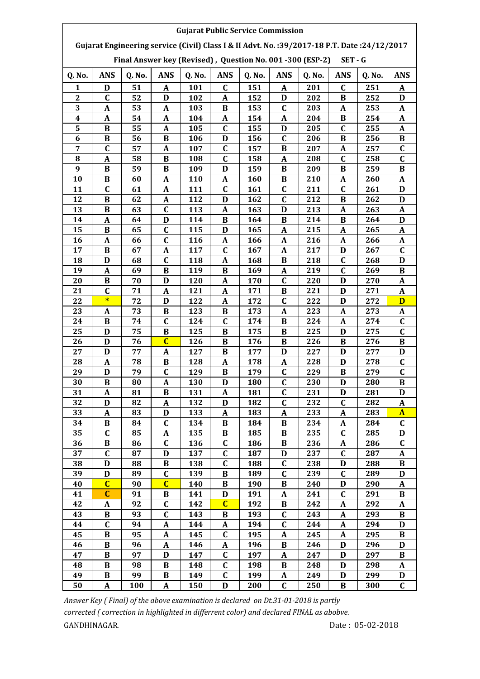| <b>Gujarat Public Service Commission</b>                                                                                                                               |                  |          |                         |            |                |            |                  |            |                  |            |                  |  |  |
|------------------------------------------------------------------------------------------------------------------------------------------------------------------------|------------------|----------|-------------------------|------------|----------------|------------|------------------|------------|------------------|------------|------------------|--|--|
| Gujarat Engineering service (Civil) Class I & II Advt. No.: 39/2017-18 P.T. Date: 24/12/2017<br>Final Answer key (Revised), Question No. 001 -300 (ESP-2)<br>$SET - G$ |                  |          |                         |            |                |            |                  |            |                  |            |                  |  |  |
| Q. No.                                                                                                                                                                 | <b>ANS</b>       | Q. No.   | <b>ANS</b>              | Q. No.     | <b>ANS</b>     | Q. No.     | <b>ANS</b>       | Q. No.     | <b>ANS</b>       | Q. No.     | <b>ANS</b>       |  |  |
| 1                                                                                                                                                                      | D                | 51       | $\mathbf{A}$            | 101        | $\mathbf C$    | 151        | $\boldsymbol{A}$ | 201        | $\mathbf C$      | 251        | A                |  |  |
| $\mathbf{2}$                                                                                                                                                           | $\mathbf C$      | 52       | D                       | 102        | A              | 152        | D                | 202        | B                | 252        | D                |  |  |
| 3                                                                                                                                                                      | A                | 53       | A                       | 103        | B              | 153        | $\mathbf C$      | 203        | A                | 253        | A                |  |  |
| 4                                                                                                                                                                      | $\boldsymbol{A}$ | 54       | A                       | 104        | A              | 154        | A                | 204        | B                | 254        | A                |  |  |
| 5                                                                                                                                                                      | $\bf{B}$         | 55       | A                       | 105        | $\mathbf C$    | 155        | D                | 205        | $\mathbf C$      | 255        | A                |  |  |
| 6                                                                                                                                                                      | $\, {\bf B}$     | 56       | $\bf{B}$                | 106        | D              | 156        | $\mathbf C$      | 206        | $\bf{B}$         | 256        | $\, {\bf B}$     |  |  |
| 7                                                                                                                                                                      | C                | 57       | A                       | 107        | C              | 157        | B                | 207        | A                | 257        | C                |  |  |
| 8                                                                                                                                                                      | A                | 58       | B                       | 108        | $\mathbf C$    | 158        | A                | 208        | $\mathbf C$      | 258        | C                |  |  |
| 9                                                                                                                                                                      | B                | 59       | В                       | 109        | D              | 159        | B                | 209        | B                | 259        | B                |  |  |
| 10                                                                                                                                                                     | B                | 60       | A                       | 110        | A              | 160        | $\bf{B}$         | 210        | A                | 260        | A                |  |  |
| 11                                                                                                                                                                     | $\mathbf C$      | 61       | $\boldsymbol{A}$        | 111        | $\mathbf C$    | 161        | $\mathbf C$      | 211        | $\mathbf C$      | 261        | D                |  |  |
| 12                                                                                                                                                                     | $\bf{B}$         | 62       | A                       | 112        | D              | 162        | $\mathbf C$      | 212        | B                | 262        | D                |  |  |
| 13                                                                                                                                                                     | $\bf{B}$         | 63       | $\mathbf C$             | 113        | A              | 163        | D                | 213        | A                | 263        | A                |  |  |
| 14                                                                                                                                                                     | A                | 64       | D                       | 114        | B              | 164        | B                | 214        | B                | 264        | D                |  |  |
| 15                                                                                                                                                                     | $\bf{B}$         | 65       | $\mathbf C$             | 115        | D              | 165        | $\boldsymbol{A}$ | 215        | $\boldsymbol{A}$ | 265        | A                |  |  |
| 16                                                                                                                                                                     | A                | 66       | $\mathbf C$             | 116        | A              | 166        | $\boldsymbol{A}$ | 216        | $\mathbf A$      | 266        | A                |  |  |
| 17                                                                                                                                                                     | B                | 67       | A                       | 117        | C              | 167        | A                | 217        | D                | 267        | C                |  |  |
| 18                                                                                                                                                                     | D                | 68       | $\mathbf C$             | 118        | A              | 168        | B                | 218        | $\mathbf C$      | 268        | D                |  |  |
| 19                                                                                                                                                                     | A                | 69       | B                       | 119        | B              | 169        | A                | 219        | $\mathbf C$      | 269        | B                |  |  |
| 20                                                                                                                                                                     | B                | 70       | D                       | 120        | A              | 170        | $\mathbf C$      | 220        | D                | 270        | A                |  |  |
| 21                                                                                                                                                                     | $\mathbf C$      | 71       | A                       | 121        | A              | 171        | $\bf{B}$         | 221        | D                | 271        | $\mathbf A$      |  |  |
| 22                                                                                                                                                                     | $\ast$           | 72       | D                       | 122        | A              | 172        | $\mathbf C$      | 222        | D                | 272        | D                |  |  |
| 23                                                                                                                                                                     | A                | 73       | B                       | 123        | B              | 173        | A                | 223        | A                | 273        | A                |  |  |
| 24                                                                                                                                                                     | $\bf{B}$         | 74       | $\mathbf C$             | 124        | C              | 174        | B                | 224        | A                | 274        | C                |  |  |
| 25                                                                                                                                                                     | $\mathbf D$      | 75       | $\bf{B}$                | 125        | B              | 175        | $\bf{B}$         | 225        | D                | 275        | $\mathbf C$      |  |  |
| 26                                                                                                                                                                     | $\mathbf D$      | 76       | $\overline{C}$          | 126        | $\bf{B}$       | 176        | $\bf{B}$         | 226        | $\bf{B}$         | 276        | $\, {\bf B}$     |  |  |
| 27                                                                                                                                                                     | D                | 77       | A                       | 127        | B              | 177        | D                | 227        | D                | 277        | D                |  |  |
| 28                                                                                                                                                                     | A                | 78       | B                       | 128        | A              | 178        | A                | 228        | D                | 278        | C                |  |  |
| 29                                                                                                                                                                     | D                | 79       | $\mathbf C$             | 129        | В              | 179        | C                | 229        | В                | 279        | C                |  |  |
| 30                                                                                                                                                                     | $\, {\bf B}$     | 80       | $\pmb{A}$               | 130        | D              | 180        | $\mathbf C$      | 230        | D                | 280        | B                |  |  |
| 31                                                                                                                                                                     | A                | 81       | $\bf{B}$                | 131        | A              | 181        | $\mathbf C$      | 231        | D                | 281        | D                |  |  |
| 32                                                                                                                                                                     | D                | 82       | A                       | 132        | D              | 182        | $\mathbf C$      | 232        | $\mathbf C$      | 282        | A                |  |  |
| 33                                                                                                                                                                     | A                | 83       | D                       | 133        | A              | 183<br>184 | A                | 233        | $\boldsymbol{A}$ | 283        | $\mathbf{A}$     |  |  |
| 34<br>35                                                                                                                                                               | B<br>$\mathbf C$ | 84<br>85 | $\mathbf C$             | 134<br>135 | B<br>B         | 185        | B<br>B           | 234<br>235 | A<br>$\mathbf C$ | 284<br>285 | C                |  |  |
| 36                                                                                                                                                                     | $\, {\bf B}$     | 86       | A<br>$\mathbf C$        | 136        | $\mathbf C$    | 186        | $\bf{B}$         | 236        | $\pmb{A}$        | 286        | D<br>$\mathbf C$ |  |  |
| 37                                                                                                                                                                     | $\mathbf C$      | 87       | D                       | 137        | $\mathbf C$    | 187        | D                | 237        | $\mathbf C$      | 287        |                  |  |  |
| 38                                                                                                                                                                     | D                | 88       | B                       | 138        | C              | 188        | C                | 238        | D                | 288        | A<br>B           |  |  |
| 39                                                                                                                                                                     | D                | 89       | C                       | 139        | B              | 189        | $\mathbf C$      | 239        | C                | 289        | D                |  |  |
| 40                                                                                                                                                                     | $\overline{c}$   | 90       | $\overline{\mathbf{C}}$ | 140        | B              | 190        | B                | 240        | D                | 290        | A                |  |  |
| 41                                                                                                                                                                     | $\mathbf{C}$     | 91       | $\, {\bf B}$            | 141        | D              | 191        | $\mathbf{A}$     | 241        | $\mathbf C$      | 291        | $\bf{B}$         |  |  |
| 42                                                                                                                                                                     | $\mathbf{A}$     | 92       | $\mathbf C$             | 142        | $\overline{C}$ | 192        | $\bf{B}$         | 242        | $\boldsymbol{A}$ | 292        | A                |  |  |
| 43                                                                                                                                                                     | $\bf{B}$         | 93       | $\mathbf C$             | 143        | B              | 193        | $\mathbf C$      | 243        | A                | 293        | B                |  |  |
| 44                                                                                                                                                                     | $\mathbf C$      | 94       | A                       | 144        | A              | 194        | $\mathbf C$      | 244        | A                | 294        | D                |  |  |
| 45                                                                                                                                                                     | B                | 95       | A                       | 145        | C              | 195        | A                | 245        | A                | 295        | B                |  |  |
| 46                                                                                                                                                                     | $\bf{B}$         | 96       | A                       | 146        | A              | 196        | $\bf{B}$         | 246        | D                | 296        | $\mathbf{D}$     |  |  |
| 47                                                                                                                                                                     | B                | 97       | D                       | 147        | $\mathbf C$    | 197        | A                | 247        | D                | 297        | В                |  |  |
| 48                                                                                                                                                                     | B                | 98       | B                       | 148        | C              | 198        | B                | 248        | D                | 298        | A                |  |  |
| 49                                                                                                                                                                     | B                | 99       | В                       | 149        | C              | 199        | A                | 249        | D                | 299        | D                |  |  |
| 50                                                                                                                                                                     | $\pmb{A}$        | 100      | $\pmb{A}$               | 150        | D              | 200        | $\mathbf C$      | 250        | $\, {\bf B}$     | 300        | $\mathbf C$      |  |  |